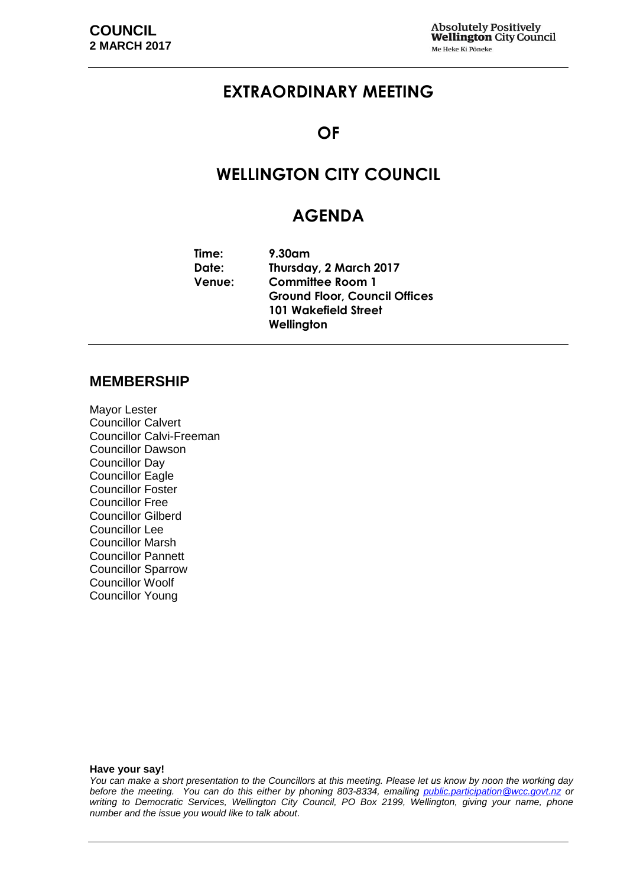## **EXTRAORDINARY MEETING**

### **OF**

## **WELLINGTON CITY COUNCIL**

## **AGENDA**

| Time:         | $9.30$ am                            |  |
|---------------|--------------------------------------|--|
| Date:         | Thursday, 2 March 2017               |  |
| <b>Venue:</b> | <b>Committee Room 1</b>              |  |
|               | <b>Ground Floor, Council Offices</b> |  |
|               | 101 Wakefield Street                 |  |
|               | Wellington                           |  |

#### **MEMBERSHIP**

Mayor Lester Councillor Calvert Councillor Calvi-Freeman Councillor Dawson Councillor Day Councillor Eagle Councillor Foster Councillor Free Councillor Gilberd Councillor Lee Councillor Marsh Councillor Pannett Councillor Sparrow Councillor Woolf Councillor Young

#### **Have your say!**

*You can make a short presentation to the Councillors at this meeting. Please let us know by noon the working day before the meeting. You can do this either by phoning 803-8334, emailing public.participation@wcc.govt.nz or writing to Democratic Services, Wellington City Council, PO Box 2199, Wellington, giving your name, phone number and the issue you would like to talk about.*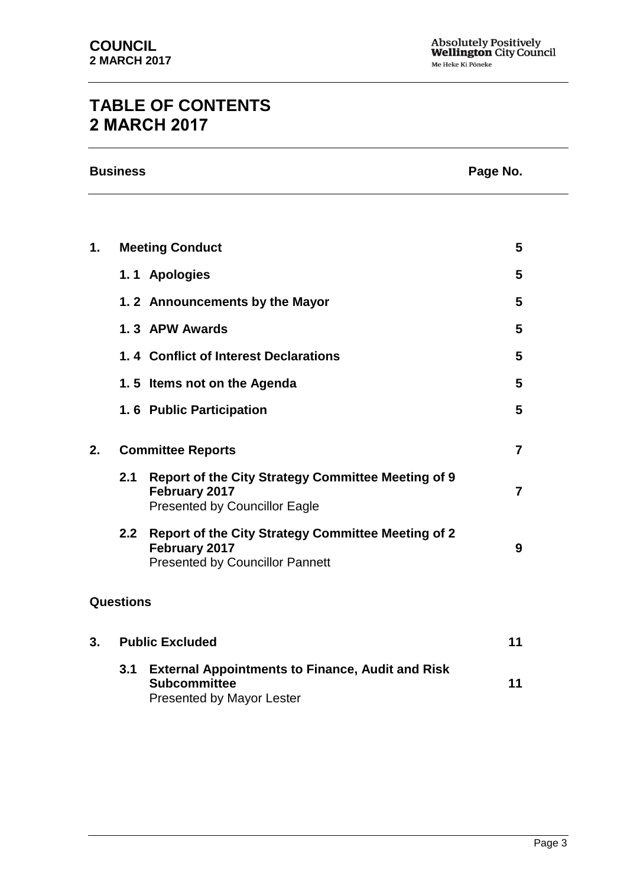## **TABLE OF CONTENTS 2 MARCH 2017**

|    | <b>Business</b>        | Page No.                                                                                                           |                |
|----|------------------------|--------------------------------------------------------------------------------------------------------------------|----------------|
|    |                        |                                                                                                                    |                |
| 1. | <b>Meeting Conduct</b> |                                                                                                                    | 5              |
|    |                        | 1.1 Apologies                                                                                                      | 5              |
|    |                        | 1.2 Announcements by the Mayor                                                                                     | 5              |
|    |                        | 1.3 APW Awards                                                                                                     | 5              |
|    |                        | 1.4 Conflict of Interest Declarations                                                                              | 5              |
|    |                        | 1.5 Items not on the Agenda                                                                                        | 5              |
|    |                        | 1.6 Public Participation                                                                                           | 5              |
| 2. |                        | <b>Committee Reports</b>                                                                                           | $\overline{7}$ |
|    | 2.1                    | <b>Report of the City Strategy Committee Meeting of 9</b><br>February 2017<br><b>Presented by Councillor Eagle</b> | $\overline{7}$ |
|    | 2.2                    | Report of the City Strategy Committee Meeting of 2<br>February 2017<br><b>Presented by Councillor Pannett</b>      | 9              |
|    | <b>Questions</b>       |                                                                                                                    |                |
| 3. |                        | <b>Public Excluded</b>                                                                                             | 11             |
|    | 3.1                    | <b>External Appointments to Finance, Audit and Risk</b><br><b>Subcommittee</b><br><b>Presented by Mayor Lester</b> | 11             |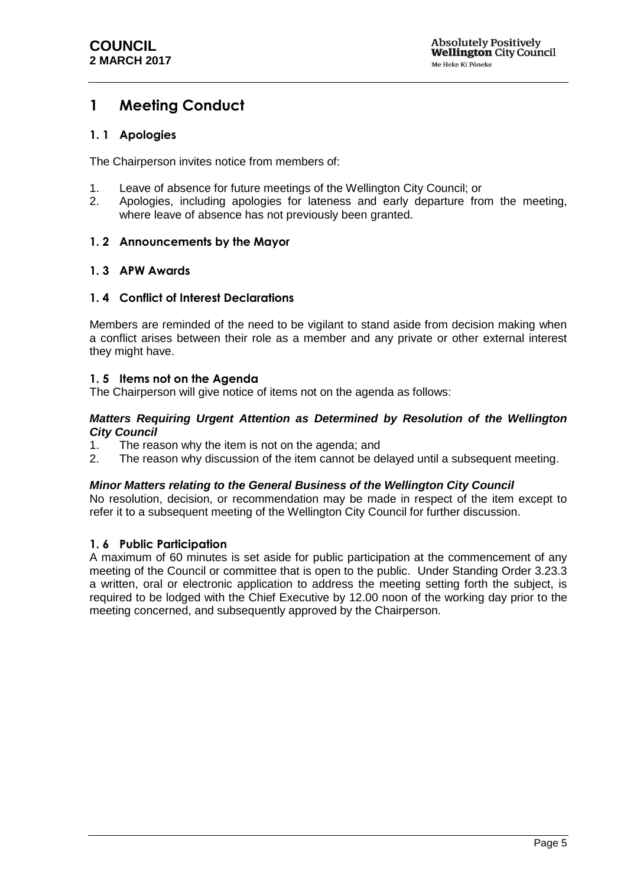## <span id="page-4-0"></span>**1 Meeting Conduct**

#### <span id="page-4-1"></span>**1. 1 Apologies**

The Chairperson invites notice from members of:

- 1. Leave of absence for future meetings of the Wellington City Council; or
- 2. Apologies, including apologies for lateness and early departure from the meeting, where leave of absence has not previously been granted.

#### <span id="page-4-2"></span>**1. 2 Announcements by the Mayor**

#### <span id="page-4-3"></span>**1. 3 APW Awards**

#### <span id="page-4-4"></span>**1. 4 Conflict of Interest Declarations**

Members are reminded of the need to be vigilant to stand aside from decision making when a conflict arises between their role as a member and any private or other external interest they might have.

#### <span id="page-4-5"></span>**1. 5 Items not on the Agenda**

The Chairperson will give notice of items not on the agenda as follows:

#### *Matters Requiring Urgent Attention as Determined by Resolution of the Wellington City Council*

- 1. The reason why the item is not on the agenda; and
- 2. The reason why discussion of the item cannot be delayed until a subsequent meeting.

#### *Minor Matters relating to the General Business of the Wellington City Council*

No resolution, decision, or recommendation may be made in respect of the item except to refer it to a subsequent meeting of the Wellington City Council for further discussion.

#### <span id="page-4-6"></span>**1. 6 Public Participation**

A maximum of 60 minutes is set aside for public participation at the commencement of any meeting of the Council or committee that is open to the public. Under Standing Order 3.23.3 a written, oral or electronic application to address the meeting setting forth the subject, is required to be lodged with the Chief Executive by 12.00 noon of the working day prior to the meeting concerned, and subsequently approved by the Chairperson.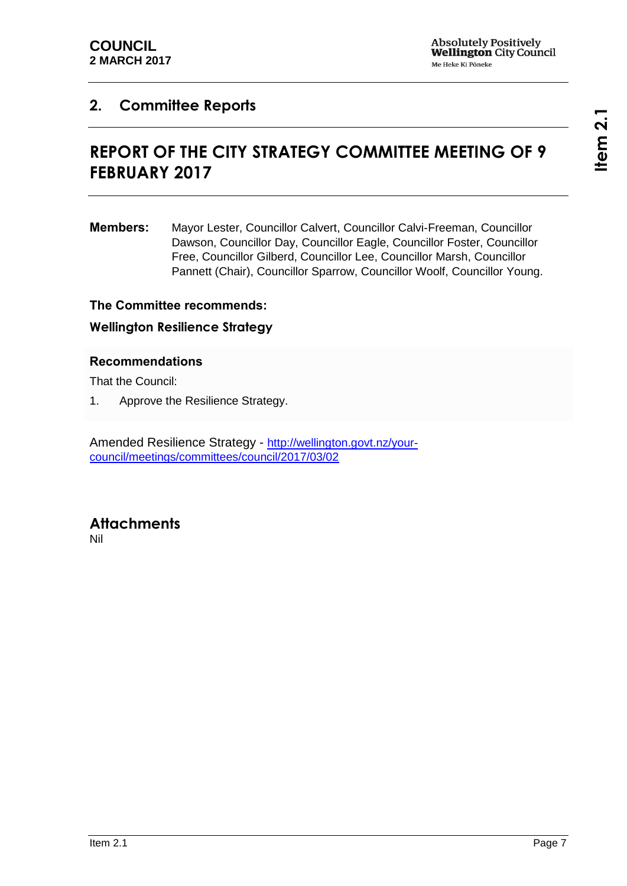## <span id="page-6-1"></span><span id="page-6-0"></span>**2. Committee Reports**

## **REPORT OF THE CITY STRATEGY COMMITTEE MEETING OF 9 FEBRUARY 2017**

**Members:** Mayor Lester, Councillor Calvert, Councillor Calvi-Freeman, Councillor Dawson, Councillor Day, Councillor Eagle, Councillor Foster, Councillor Free, Councillor Gilberd, Councillor Lee, Councillor Marsh, Councillor Pannett (Chair), Councillor Sparrow, Councillor Woolf, Councillor Young.

#### **The Committee recommends:**

#### **Wellington Resilience Strategy**

#### **Recommendations**

That the Council:

1. Approve the Resilience Strategy.

Amended Resilience Strategy - [http://wellington.govt.nz/your](http://wellington.govt.nz/your-council/meetings/committees/council/2017/03/02)[council/meetings/committees/council/2017/03/02](http://wellington.govt.nz/your-council/meetings/committees/council/2017/03/02)

# **Attachments**

Nil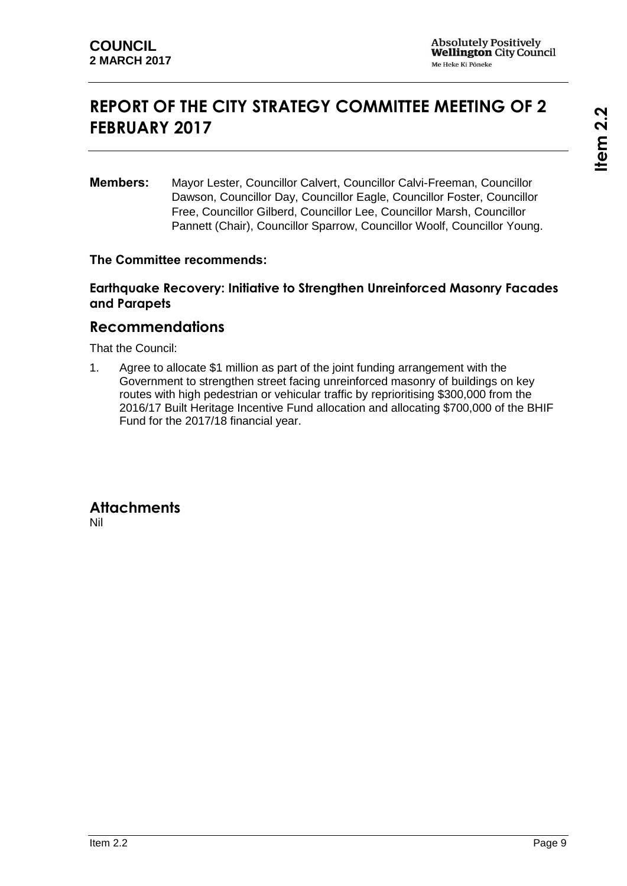## <span id="page-8-0"></span>**REPORT OF THE CITY STRATEGY COMMITTEE MEETING OF 2 FEBRUARY 2017**

**Members:** Mayor Lester, Councillor Calvert, Councillor Calvi-Freeman, Councillor Dawson, Councillor Day, Councillor Eagle, Councillor Foster, Councillor Free, Councillor Gilberd, Councillor Lee, Councillor Marsh, Councillor Pannett (Chair), Councillor Sparrow, Councillor Woolf, Councillor Young.

#### **The Committee recommends:**

### **Earthquake Recovery: Initiative to Strengthen Unreinforced Masonry Facades and Parapets**

### **Recommendations**

That the Council:

1. Agree to allocate \$1 million as part of the joint funding arrangement with the Government to strengthen street facing unreinforced masonry of buildings on key routes with high pedestrian or vehicular traffic by reprioritising \$300,000 from the 2016/17 Built Heritage Incentive Fund allocation and allocating \$700,000 of the BHIF Fund for the 2017/18 financial year.

#### **Attachments** Nil